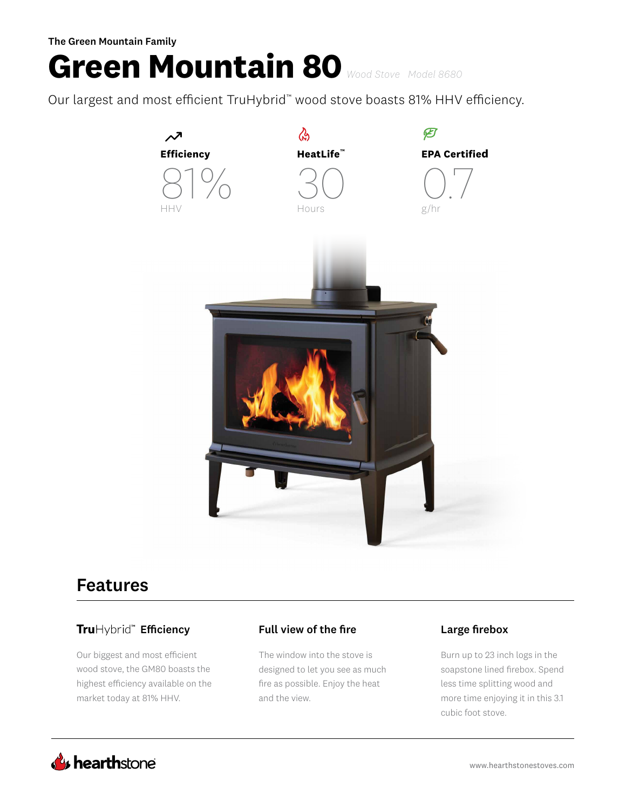# **Green Mountain 80** *Wood Stove Model 8680*

Our largest and most efficient TruHybrid™ wood stove boasts 81% HHV efficiency.



## Features

## Efficiency Full view of the fire Large firebox

Our biggest and most efficient wood stove, the GM80 boasts the highest efficiency available on the market today at 81% HHV.

The window into the stove is designed to let you see as much fire as possible. Enjoy the heat and the view.

Burn up to 23 inch logs in the soapstone lined firebox. Spend less time splitting wood and more time enjoying it in this 3.1 cubic foot stove.